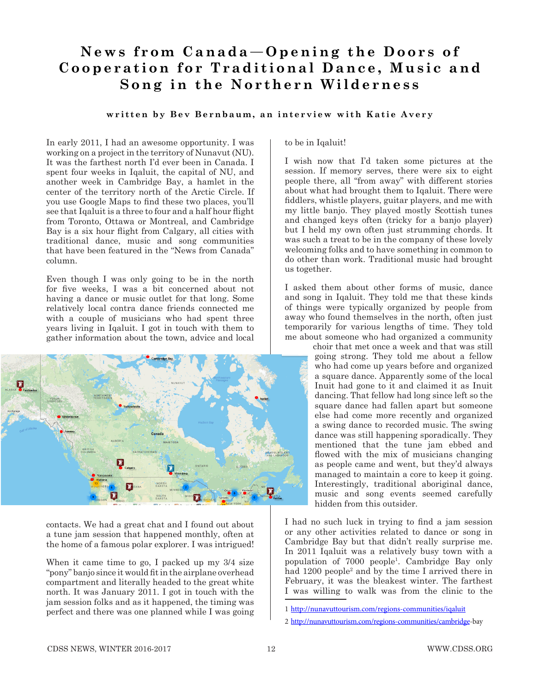## News from Canada-Opening the Doors of **Cooperation for Traditional Dance, Music and Song in the Northern Wilderness**

## **written by Bev Bernbaum, an interview with Katie Avery**

In early 2011, I had an awesome opportunity. I was working on a project in the territory of Nunavut (NU). It was the farthest north I'd ever been in Canada. I spent four weeks in Iqaluit, the capital of NU, and another week in Cambridge Bay, a hamlet in the center of the territory north of the Arctic Circle. If you use Google Maps to find these two places, you'll see that Iqaluit is a three to four and a half hour flight from Toronto, Ottawa or Montreal, and Cambridge Bay is a six hour flight from Calgary, all cities with traditional dance, music and song communities that have been featured in the "News from Canada" column.

Even though I was only going to be in the north for five weeks, I was a bit concerned about not having a dance or music outlet for that long. Some relatively local contra dance friends connected me with a couple of musicians who had spent three years living in Iqaluit. I got in touch with them to gather information about the town, advice and local



contacts. We had a great chat and I found out about a tune jam session that happened monthly, often at the home of a famous polar explorer. I was intrigued!

When it came time to go, I packed up my 3/4 size "pony" banjo since it would fit in the airplane overhead compartment and literally headed to the great white north. It was January 2011. I got in touch with the jam session folks and as it happened, the timing was perfect and there was one planned while I was going to be in Iqaluit!

I wish now that I'd taken some pictures at the session. If memory serves, there were six to eight people there, all "from away" with different stories about what had brought them to Iqaluit. There were fiddlers, whistle players, guitar players, and me with my little banjo. They played mostly Scottish tunes and changed keys often (tricky for a banjo player) but I held my own often just strumming chords. It was such a treat to be in the company of these lovely welcoming folks and to have something in common to do other than work. Traditional music had brought us together.

I asked them about other forms of music, dance and song in Iqaluit. They told me that these kinds of things were typically organized by people from away who found themselves in the north, often just temporarily for various lengths of time. They told me about someone who had organized a community

choir that met once a week and that was still going strong. They told me about a fellow who had come up years before and organized a square dance. Apparently some of the local Inuit had gone to it and claimed it as Inuit dancing. That fellow had long since left so the square dance had fallen apart but someone else had come more recently and organized a swing dance to recorded music. The swing dance was still happening sporadically. They mentioned that the tune jam ebbed and flowed with the mix of musicians changing as people came and went, but they'd always managed to maintain a core to keep it going. Interestingly, traditional aboriginal dance, music and song events seemed carefully hidden from this outsider.

I had no such luck in trying to find a jam session or any other activities related to dance or song in Cambridge Bay but that didn't really surprise me. In 2011 Iqaluit was a relatively busy town with a population of 7000 people1 . Cambridge Bay only had 1200 people<sup>2</sup> and by the time I arrived there in February, it was the bleakest winter. The farthest I was willing to walk was from the clinic to the

<sup>1</sup> http://nunavuttourism.com/regions-communities/iqaluit

<sup>2</sup> http://nunavuttourism.com/regions-communities/cambridge-bay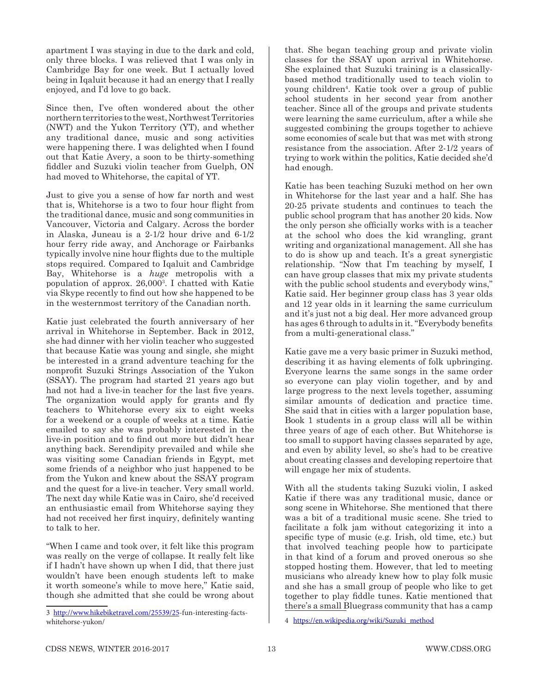apartment I was staying in due to the dark and cold, only three blocks. I was relieved that I was only in Cambridge Bay for one week. But I actually loved being in Iqaluit because it had an energy that I really enjoyed, and I'd love to go back.

Since then, I've often wondered about the other northern territories to the west, Northwest Territories (NWT) and the Yukon Territory (YT), and whether any traditional dance, music and song activities were happening there. I was delighted when I found out that Katie Avery, a soon to be thirty-something fiddler and Suzuki violin teacher from Guelph, ON had moved to Whitehorse, the capital of YT.

Just to give you a sense of how far north and west that is, Whitehorse is a two to four hour flight from the traditional dance, music and song communities in Vancouver, Victoria and Calgary. Across the border in Alaska, Juneau is a 2-1/2 hour drive and 6-1/2 hour ferry ride away, and Anchorage or Fairbanks typically involve nine hour flights due to the multiple stops required. Compared to Iqaluit and Cambridge Bay, Whitehorse is a *huge* metropolis with a population of approx. 26,0003 . I chatted with Katie via Skype recently to find out how she happened to be in the westernmost territory of the Canadian north.

Katie just celebrated the fourth anniversary of her arrival in Whitehorse in September. Back in 2012, she had dinner with her violin teacher who suggested that because Katie was young and single, she might be interested in a grand adventure teaching for the nonprofit Suzuki Strings Association of the Yukon (SSAY). The program had started 21 years ago but had not had a live-in teacher for the last five years. The organization would apply for grants and fly teachers to Whitehorse every six to eight weeks for a weekend or a couple of weeks at a time. Katie emailed to say she was probably interested in the live-in position and to find out more but didn't hear anything back. Serendipity prevailed and while she was visiting some Canadian friends in Egypt, met some friends of a neighbor who just happened to be from the Yukon and knew about the SSAY program and the quest for a live-in teacher. Very small world. The next day while Katie was in Cairo, she'd received an enthusiastic email from Whitehorse saying they had not received her first inquiry, definitely wanting to talk to her.

"When I came and took over, it felt like this program was really on the verge of collapse. It really felt like if I hadn't have shown up when I did, that there just wouldn't have been enough students left to make it worth someone's while to move here," Katie said, though she admitted that she could be wrong about

that. She began teaching group and private violin classes for the SSAY upon arrival in Whitehorse. She explained that Suzuki training is a classicallybased method traditionally used to teach violin to young children4 . Katie took over a group of public school students in her second year from another teacher. Since all of the groups and private students were learning the same curriculum, after a while she suggested combining the groups together to achieve some economies of scale but that was met with strong resistance from the association. After 2-1/2 years of trying to work within the politics, Katie decided she'd had enough.

Katie has been teaching Suzuki method on her own in Whitehorse for the last year and a half. She has 20-25 private students and continues to teach the public school program that has another 20 kids. Now the only person she officially works with is a teacher at the school who does the kid wrangling, grant writing and organizational management. All she has to do is show up and teach. It's a great synergistic relationship. "Now that I'm teaching by myself, I can have group classes that mix my private students with the public school students and everybody wins," Katie said. Her beginner group class has 3 year olds and 12 year olds in it learning the same curriculum and it's just not a big deal. Her more advanced group has ages 6 through to adults in it. "Everybody benefits from a multi-generational class."

Katie gave me a very basic primer in Suzuki method, describing it as having elements of folk upbringing. Everyone learns the same songs in the same order so everyone can play violin together, and by and large progress to the next levels together, assuming similar amounts of dedication and practice time. She said that in cities with a larger population base, Book 1 students in a group class will all be within three years of age of each other. But Whitehorse is too small to support having classes separated by age, and even by ability level, so she's had to be creative about creating classes and developing repertoire that will engage her mix of students.

With all the students taking Suzuki violin, I asked Katie if there was any traditional music, dance or song scene in Whitehorse. She mentioned that there was a bit of a traditional music scene. She tried to facilitate a folk jam without categorizing it into a specific type of music (e.g. Irish, old time, etc.) but that involved teaching people how to participate in that kind of a forum and proved onerous so she stopped hosting them. However, that led to meeting musicians who already knew how to play folk music and she has a small group of people who like to get together to play fiddle tunes. Katie mentioned that there's a small Bluegrass community that has a camp

<sup>3</sup> http://www.hikebiketravel.com/25539/25-fun-interesting-factswhitehorse-yukon/

<sup>4</sup> https://en.wikipedia.org/wiki/Suzuki\_method